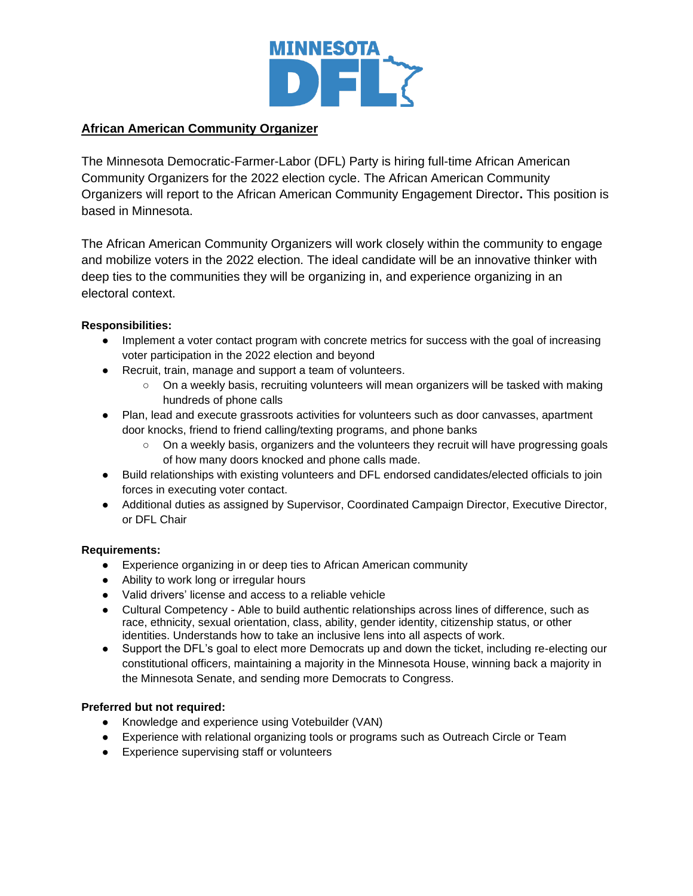

## **African American Community Organizer**

The Minnesota Democratic-Farmer-Labor (DFL) Party is hiring full-time African American Community Organizers for the 2022 election cycle. The African American Community Organizers will report to the African American Community Engagement Director**.** This position is based in Minnesota.

The African American Community Organizers will work closely within the community to engage and mobilize voters in the 2022 election. The ideal candidate will be an innovative thinker with deep ties to the communities they will be organizing in, and experience organizing in an electoral context.

### **Responsibilities:**

- Implement a voter contact program with concrete metrics for success with the goal of increasing voter participation in the 2022 election and beyond
- Recruit, train, manage and support a team of volunteers.
	- On a weekly basis, recruiting volunteers will mean organizers will be tasked with making hundreds of phone calls
- Plan, lead and execute grassroots activities for volunteers such as door canvasses, apartment door knocks, friend to friend calling/texting programs, and phone banks
	- On a weekly basis, organizers and the volunteers they recruit will have progressing goals of how many doors knocked and phone calls made.
- Build relationships with existing volunteers and DFL endorsed candidates/elected officials to join forces in executing voter contact.
- Additional duties as assigned by Supervisor, Coordinated Campaign Director, Executive Director, or DFL Chair

#### **Requirements:**

- Experience organizing in or deep ties to African American community
- Ability to work long or irregular hours
- Valid drivers' license and access to a reliable vehicle
- Cultural Competency Able to build authentic relationships across lines of difference, such as race, ethnicity, sexual orientation, class, ability, gender identity, citizenship status, or other identities. Understands how to take an inclusive lens into all aspects of work.
- Support the DFL's goal to elect more Democrats up and down the ticket, including re-electing our constitutional officers, maintaining a majority in the Minnesota House, winning back a majority in the Minnesota Senate, and sending more Democrats to Congress.

#### **Preferred but not required:**

- Knowledge and experience using Votebuilder (VAN)
- Experience with relational organizing tools or programs such as Outreach Circle or Team
- Experience supervising staff or volunteers